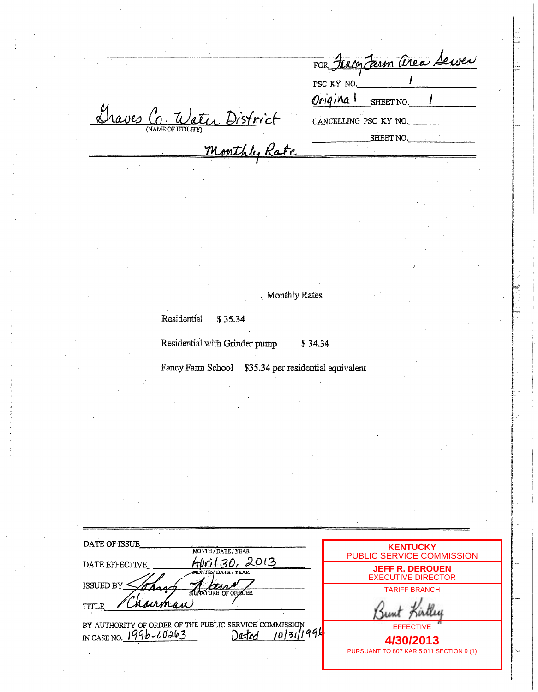| FOR Jency Jarm area Server |  |
|----------------------------|--|
| PSC KY NO.                 |  |
| Original SHEET NO.         |  |
| CANCELLING PSC KY NO.      |  |
| SHEET NO.                  |  |

Traves C Water District

Monthly Rates

Residential \$35.34

Residential with Grinder pump \$34.34

Fancy Farm School \$35.34 per residential equivalent

| DATE OF ISSUE                                                     | <b>KENTUCKY</b>                                     |
|-------------------------------------------------------------------|-----------------------------------------------------|
| MONTH / DATE / YEAR                                               | PUBLIC SERVICE COMMISSION                           |
| 2013<br>DATE EFFECTIVE<br>ANUNTEN DATE / YEAR<br><b>ISSUED BY</b> | <b>JEFF R. DEROUEN</b><br><b>EXECUTIVE DIRECTOR</b> |
| SIGNATURE OF OFFICER<br>hairman<br>TITLE                          | <b>TARIFF BRANCH</b>                                |
| BY AUTHORITY OF ORDER OF THE PUBLIC SERVICE COMMISSION            | <b>EFFECTIVE</b>                                    |
| 1996-00263                                                        | 4/30/2013                                           |
| IN CASE NO.                                                       | PURSUANT TO 807 KAR 5:011 SECTION 9 (1)             |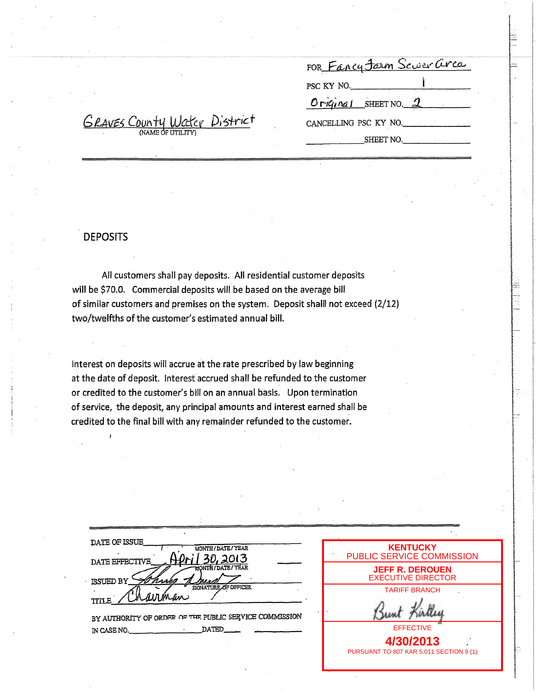| FOR Fancy Jarm Scuer area |  |
|---------------------------|--|
| PSC KY NO.                |  |
| Original SHEET NO. 2      |  |
| CANCELLING PSC KY NO.     |  |
| SHEET NO.                 |  |

# **DEPOSITS**

<u>GRAVES County Water</u> District

All customers shall pay deposits. All residential customer deposits will be \$70.0. Commercial deposits will be based on the average bill of similar customers and premises on the system. Deposit shalll not exceed {2/12) two/twelfths of the customer's estimated annual bill.

Interest on deposits will accrue at the rate prescribed by law beginning at the date of deposit. Interest accrued shall be refunded to the customer or credited to the customer's bill on an annual basis. Upon termination of service, the deposit, any principal amounts and interest earned shall be credited to the final bill with any remainder refunded to the customer.

| <b>DATE OF ISSUE</b><br><b>MONTH/DATE/YEAR</b>          |
|---------------------------------------------------------|
| 30,2013<br><b>DATE EFFECTIVE</b><br>MONTH / DATE / YEAR |
| <b>ISSUED BY</b><br>SIGNATURE OF OFFICER                |
| arman<br>TITLE                                          |
| BY AUTHORITY OF ORDER OF THE PUBLIC SERVICE COMMISSION  |
| DATEE<br>IN CASE NO.                                    |

| <b>KENTUCKY</b><br><b>PUBLIC SERVICE COMMISSION</b> |
|-----------------------------------------------------|
| <b>JEFF R. DEROUEN</b><br><b>EXECUTIVE DIRECTOR</b> |
| <b>TARIFF BRANCH</b>                                |
|                                                     |
| <b>FFFFCTIVE</b>                                    |
| 4/30/2013                                           |
| PURSUANT TO 807 KAR 5:011 SECTION 9 (1)             |
|                                                     |

r·

I

£ .<br>.<br>.<br>.<br>.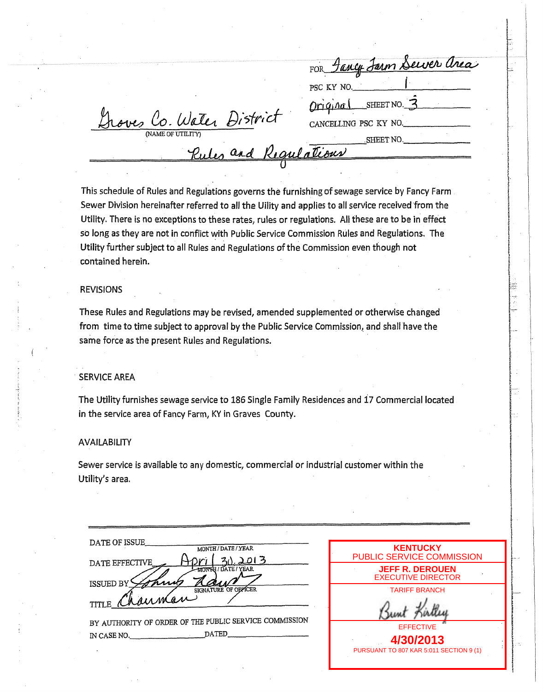|                          | FOR Sancy Jarm Server area     |
|--------------------------|--------------------------------|
|                          | PSC KY NO.                     |
|                          | SHEET NO.<br>$O(nG \Lambda d)$ |
| roves Co. Water District | CANCELLING PSC KY NO.          |
| (NAME OF UTILITY)        | .SHEET NO.                     |
| $\alpha_{\mathcal{A}}$   | Recrue ations                  |
|                          |                                |

This schedule of Rules and Regulations governs the furnishing of sewage service by Fancy Farm Sewer Division hereinafter referred to all the Uility and applies to all service received from the Utility. There is no exceptions to these rates, rules or regulations. All these are to be in effect so long as they are not in conflict with Public Service Commission Rules and Regulations. The Utility further subject to all Rules and Regulations of the Commission even though not contained herein.

# REVISIONS

These Rules and Regulations may be revised, amended supplemented or otherwise changed from time to time subject to approval by the Public Service Commission, and shall have the same force as the present Rules and Regulations.

## **SERVICE AREA**

The Utility furnishes sewage service to 186 Single Family Residences and *i7* Commercial located in the service area of Fancy Farm, KY in Graves County.

#### AVAILABILITY

Sewer service is available to any domestic, commercial or industrial customer within the Utility's area.

| DATE OF ISSUE<br>MONTH / DATE / YEAR                   |
|--------------------------------------------------------|
| 2013<br>DATE EFFECTIVE                                 |
| <b>ITIN RH / DATE / YEAR</b>                           |
| <b>ISSUED BY</b><br>SIGNATURE OF OFFICER               |
| auman<br><b>TITLE</b>                                  |
| BY AUTHORITY OF ORDER OF THE PUBLIC SERVICE COMMISSION |
| DATED<br>IN CASE NO.                                   |

| <b>KENTUCKY</b><br>PUBLIC SERVICE COMMISSION        |  |
|-----------------------------------------------------|--|
| <b>JEFF R. DEROUEN</b><br><b>EXECUTIVE DIRECTOR</b> |  |
| <b>TARIFF BRANCH</b>                                |  |
|                                                     |  |
| <b>EFFECTIVE</b>                                    |  |
| 4/30/2013                                           |  |
| PURSUANT TO 807 KAR 5:011 SECTION 9 (1)             |  |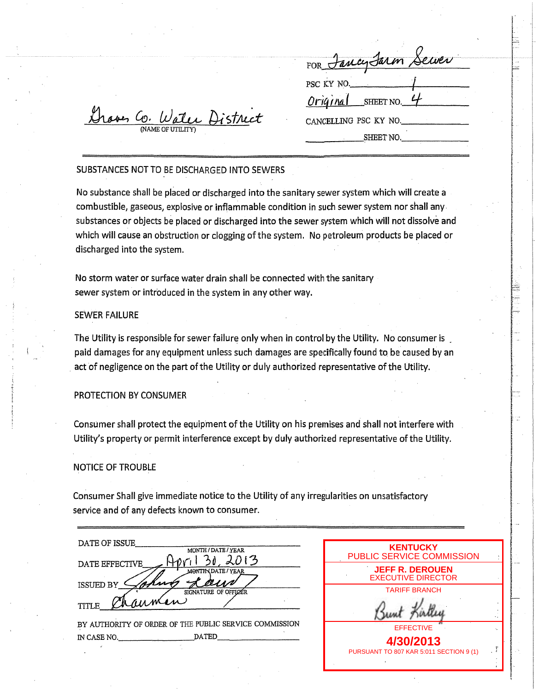| FOR Jancy Jarm Sewer               |  |
|------------------------------------|--|
| PSC KY NO.<br>$Orrignal$ SHEET NO. |  |
| CANCELLING PSC KY NO.<br>SHEET NO. |  |

# **Leves Co. Water District**

# SUBSTANCES NOT TO BE DISCHARGED INTO SEWERS

No substance shall be placed or discharged into the sanitary sewer system which will create a combustible, gaseous, explosive or inflammable condition in such sewer system nor shall any. substances or objects be placed or discharged into the sewer system which will not dissolve and which will cause an obstruction or clogging of the system. No petroleum products be placed or discharged into the system.

No storm water or surface water drain shall be connected with the sanitary sewer system or introduced in the system in any other way.

# SEWER FAILURE

The Utility is responsible for sewer failure only when in control by the Utility. No consumer is paid damages for any equipment unless such damages are specifically found to be caused by an . act of negligence on the part of the Utility or duly authorized representative of the Utility.

#### PROTECTION BY CONSUMER

Consumer shall protect the equipment of the Utility on his premises and shall not interfere with Utility's property or permit interference except by duly authorized representative of the Utility.

#### NOTICE OF TROUBLE

Consumer Shall give immediate notice to the Utility of any irregularities on unsatisfactory service and of any defects known to consumer.

| DATE OF ISSUE                                           |
|---------------------------------------------------------|
| MONTH / DATE / YEAR                                     |
| <b>DATE EFFECTIVE</b><br><b>MONTH \DATE / YEAR</b>      |
| $k_{\rm a}$<br><b>ISSUED BY</b><br>SIGNATURE OF OFFICER |
| $\mu$<br>TITLE                                          |

BY AUTHORITY OF ORDER OF THE PUBLIC SERVICE COMMISSION IN CASE NO. \_\_\_ ~ \_\_\_ .DATED \_\_\_\_\_\_ \_

| <b>KENTUCKY</b><br>PUBLIC SERVICE COMMISSION         |  |
|------------------------------------------------------|--|
| <b>JEFF R. DEROUEN</b><br><b>EXECUTIVE DIRECTOR</b>  |  |
| <b>TARIFF BRANCH</b>                                 |  |
|                                                      |  |
| <b>FFFFCTIVE</b>                                     |  |
| 4/30/2013<br>PURSUANT TO 807 KAR 5:011 SECTION 9 (1) |  |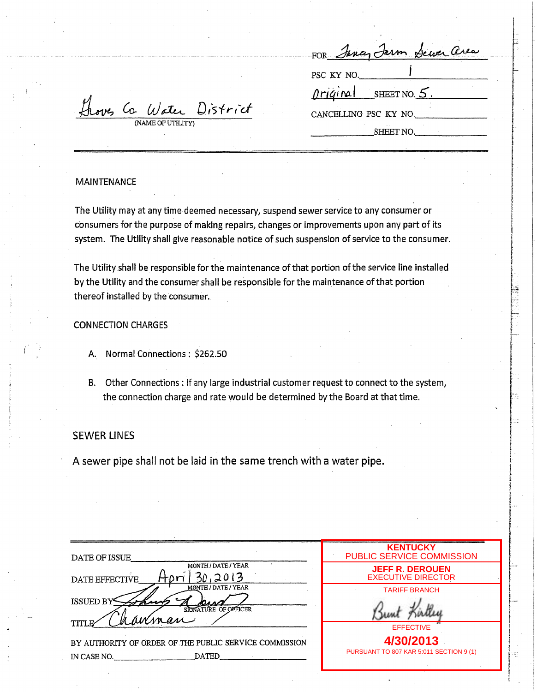| ran c | $-10 -$<br>$\sim$ | (10 L.W.A | . |
|-------|-------------------|-----------|---|
|       |                   |           |   |

 $\tau$  . [

for the contract of the contract of the contract of the contract of the contract of the contract of the contract of the contract of the contract of the contract of the contract of the contract of the contract of the contra

i<br>International<br>International

ikaliari<br>Akiarahasin kanan katalunan

I i<br>I Terminalist<br>I International Control<br>International Control<br>International Control Control Control Control Control Control Control Control Control Control Control Control

**International Property** 

'''

r

in de constant de la propie de la propie de la propie de la propie de la propie de la propie de la propie de l<br>Internacional de la propie de la propie de la propie de la propie de la propie de la propie de la propie de la

~ '"<br>'""

 $\mathbf{f}$ 

ا با استخدام العامل<br>معاملة

|<br>|-<br>|Wadenberghammadan

i<br>International contents of the first of the state.<br>International contents of the first of the state.

! I ..!

!

 $^{\rm r-}$ 

1 i<br>Indonesia<br>Indonesia I<br>III<br>III ! i<br>International<br>International

**CENTER** 

ranamenya<br>... i<br>internet

thoves Co Water District (NAME OF UTILITY) SHEET NO.

PSC KY NO.

 $\varphi$ riginal sheet no. 5

CANCELLING PSC KY NO.

#### MAINTENANCE

The Utility may at any time deemed necessary, suspend sewer service to any consumer or consumers for the purpose of making repairs, changes or improvements upon any part of its system. The Utility shall give reasonable notice of such suspension of service to the consumer.

The Utility shall be responsible for the maintenance of that portion of the service line installed by the Utility and the consumer shall be responsible for the maintenance of that portion thereof installed by the consumer.

CONNECTION CHARGES

- A. Normal Connections : \$262.50
- B. Other Connections: If any large industrial customer request to connect to the system, the connection charge and rate would be determined by the Board at that time.

# SEWER LINES

A sewer pipe shall not be laid in the same trench with a water pipe.

| DATE OF ISSUE                                                                             | <b>KENTUCKY</b><br>PUBLIC SERVICE COMMISSION        |
|-------------------------------------------------------------------------------------------|-----------------------------------------------------|
| MONTH / DATE / YEAR<br>2013<br>DATE EFFECTIVE                                             | <b>JEFF R. DEROUEN</b><br><b>EXECUTIVE DIRECTOR</b> |
| MONTH / DATE / YEAR<br><b>ISSUED BY</b><br><u>na si</u><br>SIGNATURE OF OFFICER<br>hamman | <b>TARIFF BRANCH</b>                                |
| TITL<br>BY AUTHORITY OF ORDER OF THE PUBLIC SERVICE COMMISSION                            | <b>EFFECTIVE</b><br>4/30/2013                       |
| <b>DATED</b><br>IN CASE NO.                                                               | PURSUANT TO 807 KAR 5:011 SECTION 9 (1)             |